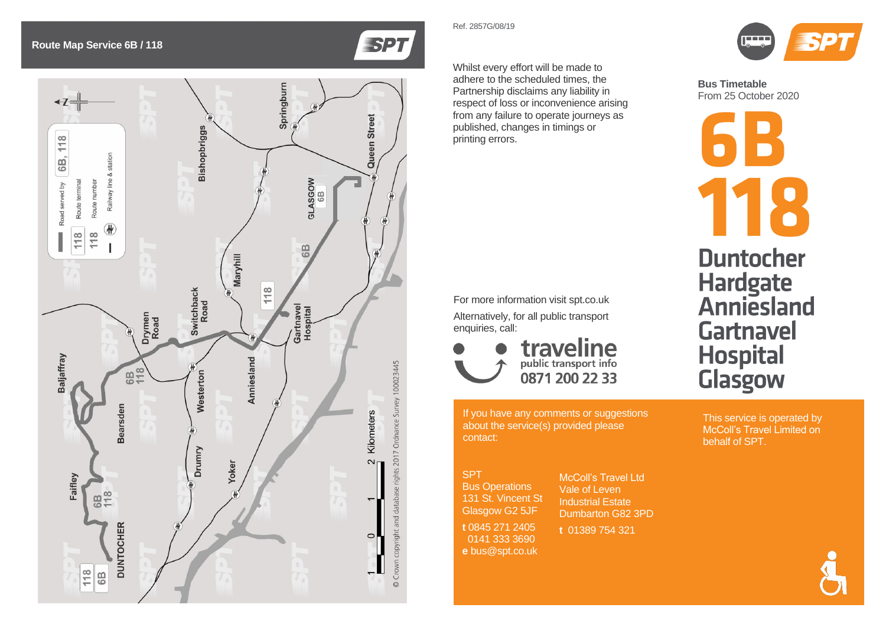## SPT

Bus Operations 131 St. Vincent St Glasgow G2 5JF

**t** 0845 271 2405 0141 333 3690 **e** bus@spt.co.uk



**Bus Timetable** From 25 October 2020



Whilst every effort will be made to adhere to the scheduled times, the Partnership disclaims any liability in respect of loss or inconvenience arising from any failure to operate journeys as published, changes in timings or printing errors.

If you have any comments or suggestions about the service(s) provided please contact:

For more information visit spt.co.uk Alternatively, for all public transport enquiries, call:

> traveline 0871 200 22 33





McColl's Travel Ltd Vale of Leven Industrial Estate Dumbarton G82 3PD

**t** 01389 754 321

This service is operated by McColl's Travel Limited on behalf of SPT.